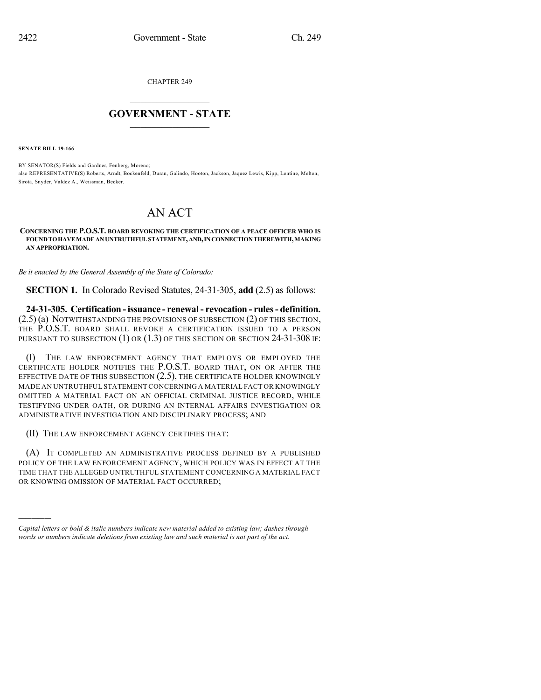CHAPTER 249

## $\mathcal{L}_\text{max}$  . The set of the set of the set of the set of the set of the set of the set of the set of the set of the set of the set of the set of the set of the set of the set of the set of the set of the set of the set **GOVERNMENT - STATE**  $\_$   $\_$   $\_$   $\_$   $\_$   $\_$   $\_$   $\_$   $\_$

**SENATE BILL 19-166**

)))))

BY SENATOR(S) Fields and Gardner, Fenberg, Moreno; also REPRESENTATIVE(S) Roberts, Arndt, Bockenfeld, Duran, Galindo, Hooton, Jackson, Jaquez Lewis, Kipp, Lontine, Melton, Sirota, Snyder, Valdez A., Weissman, Becker.

## AN ACT

**CONCERNING THE P.O.S.T. BOARD REVOKING THE CERTIFICATION OF A PEACE OFFICER WHO IS FOUNDTOHAVEMADEANUNTRUTHFULSTATEMENT,AND,INCONNECTIONTHEREWITH,MAKING AN APPROPRIATION.**

*Be it enacted by the General Assembly of the State of Colorado:*

**SECTION 1.** In Colorado Revised Statutes, 24-31-305, **add** (2.5) as follows:

**24-31-305. Certification -issuance - renewal- revocation - rules- definition.** (2.5) (a) NOTWITHSTANDING THE PROVISIONS OF SUBSECTION (2) OF THIS SECTION, THE P.O.S.T. BOARD SHALL REVOKE A CERTIFICATION ISSUED TO A PERSON PURSUANT TO SUBSECTION  $(1)$  OR  $(1.3)$  OF THIS SECTION OR SECTION 24-31-308 IF:

(I) THE LAW ENFORCEMENT AGENCY THAT EMPLOYS OR EMPLOYED THE CERTIFICATE HOLDER NOTIFIES THE P.O.S.T. BOARD THAT, ON OR AFTER THE EFFECTIVE DATE OF THIS SUBSECTION (2.5), THE CERTIFICATE HOLDER KNOWINGLY MADE AN UNTRUTHFUL STATEMENTCONCERNING A MATERIAL FACT OR KNOWINGLY OMITTED A MATERIAL FACT ON AN OFFICIAL CRIMINAL JUSTICE RECORD, WHILE TESTIFYING UNDER OATH, OR DURING AN INTERNAL AFFAIRS INVESTIGATION OR ADMINISTRATIVE INVESTIGATION AND DISCIPLINARY PROCESS; AND

(II) THE LAW ENFORCEMENT AGENCY CERTIFIES THAT:

(A) IT COMPLETED AN ADMINISTRATIVE PROCESS DEFINED BY A PUBLISHED POLICY OF THE LAW ENFORCEMENT AGENCY, WHICH POLICY WAS IN EFFECT AT THE TIME THAT THE ALLEGED UNTRUTHFUL STATEMENT CONCERNING A MATERIAL FACT OR KNOWING OMISSION OF MATERIAL FACT OCCURRED;

*Capital letters or bold & italic numbers indicate new material added to existing law; dashes through words or numbers indicate deletions from existing law and such material is not part of the act.*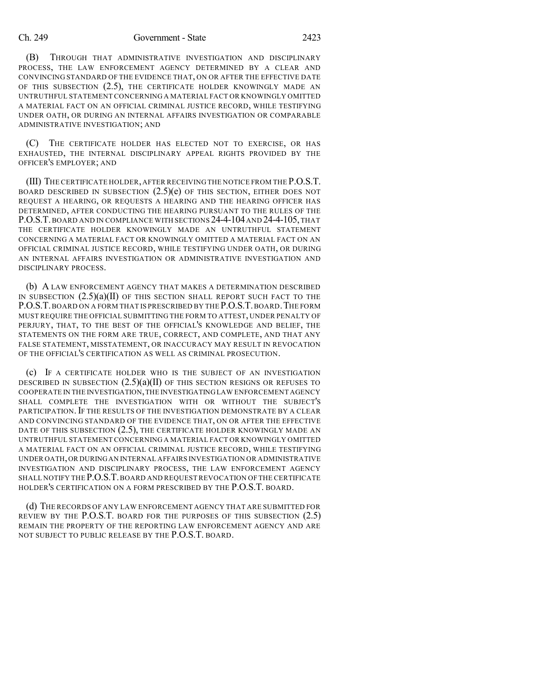## Ch. 249 Government - State 2423

(B) THROUGH THAT ADMINISTRATIVE INVESTIGATION AND DISCIPLINARY PROCESS, THE LAW ENFORCEMENT AGENCY DETERMINED BY A CLEAR AND CONVINCING STANDARD OF THE EVIDENCE THAT, ON OR AFTER THE EFFECTIVE DATE OF THIS SUBSECTION (2.5), THE CERTIFICATE HOLDER KNOWINGLY MADE AN UNTRUTHFUL STATEMENT CONCERNING A MATERIAL FACT OR KNOWINGLY OMITTED A MATERIAL FACT ON AN OFFICIAL CRIMINAL JUSTICE RECORD, WHILE TESTIFYING UNDER OATH, OR DURING AN INTERNAL AFFAIRS INVESTIGATION OR COMPARABLE ADMINISTRATIVE INVESTIGATION; AND

(C) THE CERTIFICATE HOLDER HAS ELECTED NOT TO EXERCISE, OR HAS EXHAUSTED, THE INTERNAL DISCIPLINARY APPEAL RIGHTS PROVIDED BY THE OFFICER'S EMPLOYER; AND

(III) THE CERTIFICATE HOLDER,AFTER RECEIVING THE NOTICE FROM THE P.O.S.T. BOARD DESCRIBED IN SUBSECTION  $(2.5)(e)$  of this section, either does not REQUEST A HEARING, OR REQUESTS A HEARING AND THE HEARING OFFICER HAS DETERMINED, AFTER CONDUCTING THE HEARING PURSUANT TO THE RULES OF THE P.O.S.T. BOARD AND IN COMPLIANCE WITH SECTIONS 24-4-104 AND 24-4-105, THAT THE CERTIFICATE HOLDER KNOWINGLY MADE AN UNTRUTHFUL STATEMENT CONCERNING A MATERIAL FACT OR KNOWINGLY OMITTED A MATERIAL FACT ON AN OFFICIAL CRIMINAL JUSTICE RECORD, WHILE TESTIFYING UNDER OATH, OR DURING AN INTERNAL AFFAIRS INVESTIGATION OR ADMINISTRATIVE INVESTIGATION AND DISCIPLINARY PROCESS.

(b) A LAW ENFORCEMENT AGENCY THAT MAKES A DETERMINATION DESCRIBED IN SUBSECTION  $(2.5)(a)(II)$  of this section shall report such fact to the P.O.S.T. BOARD ON A FORM THAT IS PRESCRIBED BY THE P.O.S.T. BOARD. THE FORM MUST REQUIRE THE OFFICIAL SUBMITTING THE FORM TO ATTEST, UNDER PENALTY OF PERJURY, THAT, TO THE BEST OF THE OFFICIAL'S KNOWLEDGE AND BELIEF, THE STATEMENTS ON THE FORM ARE TRUE, CORRECT, AND COMPLETE, AND THAT ANY FALSE STATEMENT, MISSTATEMENT, OR INACCURACY MAY RESULT IN REVOCATION OF THE OFFICIAL'S CERTIFICATION AS WELL AS CRIMINAL PROSECUTION.

(c) IF A CERTIFICATE HOLDER WHO IS THE SUBJECT OF AN INVESTIGATION DESCRIBED IN SUBSECTION  $(2.5)(a)(II)$  of this section resigns or refuses to COOPERATE IN THE INVESTIGATION,THE INVESTIGATINGLAW ENFORCEMENT AGENCY SHALL COMPLETE THE INVESTIGATION WITH OR WITHOUT THE SUBJECT'S PARTICIPATION. IF THE RESULTS OF THE INVESTIGATION DEMONSTRATE BY A CLEAR AND CONVINCING STANDARD OF THE EVIDENCE THAT, ON OR AFTER THE EFFECTIVE DATE OF THIS SUBSECTION (2.5), THE CERTIFICATE HOLDER KNOWINGLY MADE AN UNTRUTHFUL STATEMENT CONCERNING A MATERIAL FACT OR KNOWINGLY OMITTED A MATERIAL FACT ON AN OFFICIAL CRIMINAL JUSTICE RECORD, WHILE TESTIFYING UNDER OATH,OR DURINGAN INTERNAL AFFAIRS INVESTIGATION OR ADMINISTRATIVE INVESTIGATION AND DISCIPLINARY PROCESS, THE LAW ENFORCEMENT AGENCY SHALL NOTIFY THE P.O.S.T.BOARD AND REQUEST REVOCATION OF THE CERTIFICATE HOLDER'S CERTIFICATION ON A FORM PRESCRIBED BY THE P.O.S.T. BOARD.

(d) THE RECORDS OF ANY LAW ENFORCEMENT AGENCY THAT ARE SUBMITTED FOR REVIEW BY THE P.O.S.T. BOARD FOR THE PURPOSES OF THIS SUBSECTION (2.5) REMAIN THE PROPERTY OF THE REPORTING LAW ENFORCEMENT AGENCY AND ARE NOT SUBJECT TO PUBLIC RELEASE BY THE P.O.S.T. BOARD.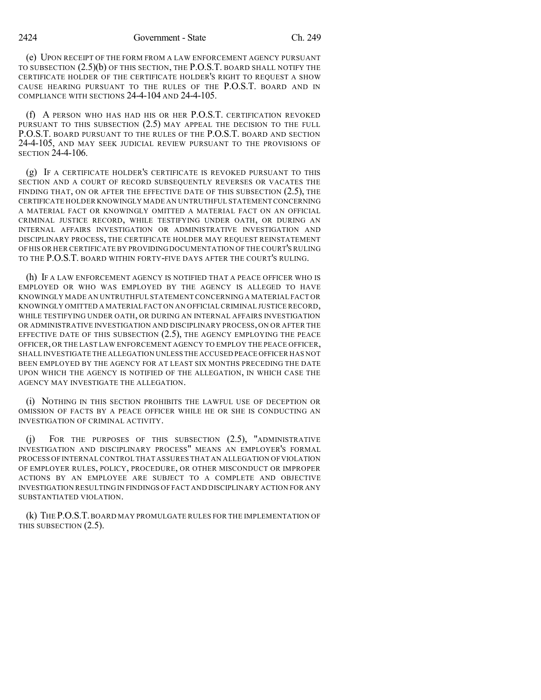(e) UPON RECEIPT OF THE FORM FROM A LAW ENFORCEMENT AGENCY PURSUANT TO SUBSECTION (2.5)(b) OF THIS SECTION, THE P.O.S.T. BOARD SHALL NOTIFY THE CERTIFICATE HOLDER OF THE CERTIFICATE HOLDER'S RIGHT TO REQUEST A SHOW CAUSE HEARING PURSUANT TO THE RULES OF THE P.O.S.T. BOARD AND IN COMPLIANCE WITH SECTIONS 24-4-104 AND 24-4-105.

(f) A PERSON WHO HAS HAD HIS OR HER P.O.S.T. CERTIFICATION REVOKED PURSUANT TO THIS SUBSECTION (2.5) MAY APPEAL THE DECISION TO THE FULL P.O.S.T. BOARD PURSUANT TO THE RULES OF THE P.O.S.T. BOARD AND SECTION 24-4-105, AND MAY SEEK JUDICIAL REVIEW PURSUANT TO THE PROVISIONS OF SECTION 24-4-106.

(g) IF A CERTIFICATE HOLDER'S CERTIFICATE IS REVOKED PURSUANT TO THIS SECTION AND A COURT OF RECORD SUBSEQUENTLY REVERSES OR VACATES THE FINDING THAT, ON OR AFTER THE EFFECTIVE DATE OF THIS SUBSECTION (2.5), THE CERTIFICATE HOLDER KNOWINGLY MADE AN UNTRUTHFUL STATEMENT CONCERNING A MATERIAL FACT OR KNOWINGLY OMITTED A MATERIAL FACT ON AN OFFICIAL CRIMINAL JUSTICE RECORD, WHILE TESTIFYING UNDER OATH, OR DURING AN INTERNAL AFFAIRS INVESTIGATION OR ADMINISTRATIVE INVESTIGATION AND DISCIPLINARY PROCESS, THE CERTIFICATE HOLDER MAY REQUEST REINSTATEMENT OF HIS OR HER CERTIFICATE BY PROVIDING DOCUMENTATION OF THE COURT'S RULING TO THE P.O.S.T. BOARD WITHIN FORTY-FIVE DAYS AFTER THE COURT'S RULING.

(h) IF A LAW ENFORCEMENT AGENCY IS NOTIFIED THAT A PEACE OFFICER WHO IS EMPLOYED OR WHO WAS EMPLOYED BY THE AGENCY IS ALLEGED TO HAVE KNOWINGLY MADE AN UNTRUTHFUL STATEMENT CONCERNING A MATERIAL FACT OR KNOWINGLY OMITTED A MATERIAL FACT ON AN OFFICIAL CRIMINAL JUSTICE RECORD, WHILE TESTIFYING UNDER OATH, OR DURING AN INTERNAL AFFAIRS INVESTIGATION OR ADMINISTRATIVE INVESTIGATION AND DISCIPLINARY PROCESS, ON OR AFTER THE EFFECTIVE DATE OF THIS SUBSECTION  $(2.5)$ , the agency employing the peace OFFICER, OR THE LAST LAW ENFORCEMENT AGENCY TO EMPLOY THE PEACE OFFICER, SHALL INVESTIGATE THE ALLEGATION UNLESS THE ACCUSED PEACE OFFICER HAS NOT BEEN EMPLOYED BY THE AGENCY FOR AT LEAST SIX MONTHS PRECEDING THE DATE UPON WHICH THE AGENCY IS NOTIFIED OF THE ALLEGATION, IN WHICH CASE THE AGENCY MAY INVESTIGATE THE ALLEGATION.

(i) NOTHING IN THIS SECTION PROHIBITS THE LAWFUL USE OF DECEPTION OR OMISSION OF FACTS BY A PEACE OFFICER WHILE HE OR SHE IS CONDUCTING AN INVESTIGATION OF CRIMINAL ACTIVITY.

(j) FOR THE PURPOSES OF THIS SUBSECTION (2.5), "ADMINISTRATIVE INVESTIGATION AND DISCIPLINARY PROCESS" MEANS AN EMPLOYER'S FORMAL PROCESS OF INTERNAL CONTROL THAT ASSURES THAT AN ALLEGATION OFVIOLATION OF EMPLOYER RULES, POLICY, PROCEDURE, OR OTHER MISCONDUCT OR IMPROPER ACTIONS BY AN EMPLOYEE ARE SUBJECT TO A COMPLETE AND OBJECTIVE INVESTIGATION RESULTING IN FINDINGS OF FACT AND DISCIPLINARY ACTION FOR ANY SUBSTANTIATED VIOLATION.

(k) THE P.O.S.T.BOARD MAY PROMULGATE RULES FOR THE IMPLEMENTATION OF THIS SUBSECTION (2.5).